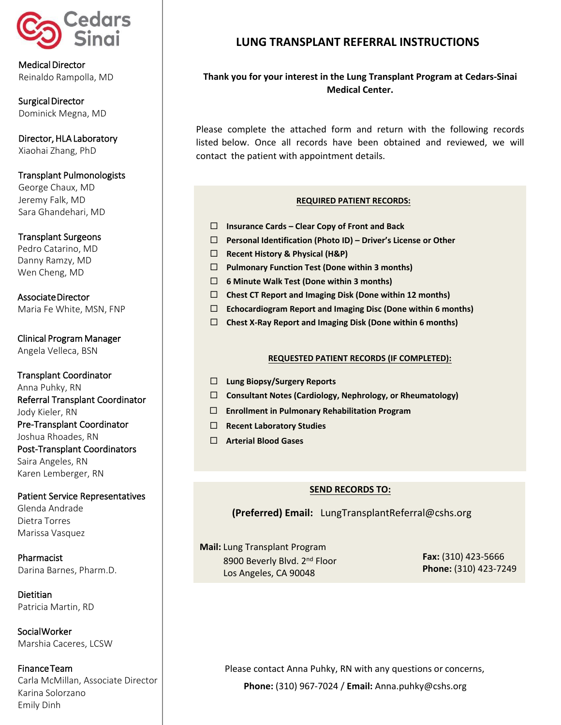

Medical Director Reinaldo Rampolla, MD

Surgical Director Dominick Megna, MD

Director, HLA Laboratory Xiaohai Zhang, PhD

### Transplant Pulmonologists

George Chaux, MD Jeremy Falk, MD Sara Ghandehari, MD

### Transplant Surgeons

Pedro Catarino, MD Danny Ramzy, MD Wen Cheng, MD

Associate Director Maria Fe White, MSN, FNP

Clinical Program Manager Angela Velleca, BSN

Transplant Coordinator Anna Puhky, RN Referral Transplant Coordinator Jody Kieler, RN Pre-Transplant Coordinator Joshua Rhoades, RN Post-Transplant Coordinators Saira Angeles, RN Karen Lemberger, RN

### Patient Service Representatives

Glenda Andrade Dietra Torres Marissa Vasquez

Pharmacist Darina Barnes, Pharm.D.

Dietitian Patricia Martin, RD

Social Worker Marshia Caceres, LCSW

Finance Team Carla McMillan, Associate Director Karina Solorzano Emily Dinh

# **LUNG TRANSPLANT REFERRAL INSTRUCTIONS**

## **Thank you for your interest in the Lung Transplant Program at Cedars-Sinai Medical Center.**

Please complete the attached form and return with the following records listed below. Once all records have been obtained and reviewed, we will contact the patient with appointment details.

### **REQUIRED PATIENT RECORDS:**

- **Insurance Cards – Clear Copy of Front and Back**
- **Personal Identification (Photo ID) – Driver's License or Other**
- **Recent History & Physical (H&P)**
- **Pulmonary Function Test (Done within 3 months)**
- **6 Minute Walk Test (Done within 3 months)**
- **Chest CT Report and Imaging Disk (Done within 12 months)**
- **Echocardiogram Report and Imaging Disc (Done within 6 months)**
- **Chest X-Ray Report and Imaging Disk (Done within 6 months)**

#### **REQUESTED PATIENT RECORDS (IF COMPLETED):**

- **Lung Biopsy/Surgery Reports**
- **Consultant Notes (Cardiology, Nephrology, or Rheumatology)**
- **Enrollment in Pulmonary Rehabilitation Program**
- **Recent Laboratory Studies**
- **Arterial Blood Gases**

## **SEND RECORDS TO:**

**(Preferred) Email:** LungTransplantReferral@cshs.org

**Mail:** Lung Transplant Program 8900 Beverly Blvd. 2<sup>nd</sup> Floor Los Angeles, CA 90048

**Fax:** (310) 423-5666 **Phone:** (310) 423-7249

Please contact Anna Puhky, RN with any questions or concerns, **Phone:** (310) 967-7024 / **Email:** Anna.puhky@cshs.org